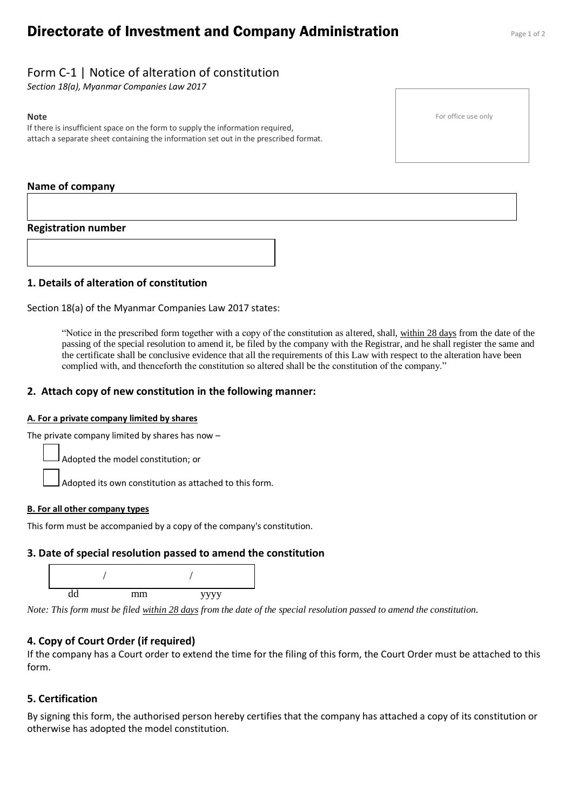# **Directorate of Investment and Company Administration** Page 1 of 2

## Form C-1 | Notice of alteration of constitution

*Section 18(a), Myanmar Companies Law 2017*

#### **Note**

If there is insufficient space on the form to supply the information required, attach a separate sheet containing the information set out in the prescribed format.

## **Name of company**

## **Registration number**



Section 18(a) of the Myanmar Companies Law 2017 states:

"Notice in the prescribed form together with a copy of the constitution as altered, shall, within 28 days from the date of the passing of the special resolution to amend it, be filed by the company with the Registrar, and he shall register the same and the certificate shall be conclusive evidence that all the requirements of this Law with respect to the alteration have been complied with, and thenceforth the constitution so altered shall be the constitution of the company."

## **2. Attach copy of new constitution in the following manner:**

#### **A. For a private company limited by shares**

The private company limited by shares has now –

Adopted the model constitution; or

Adopted its own constitution as attached to this form.

#### **B. For all other company types**

This form must be accompanied by a copy of the company's constitution.

## **3. Date of special resolution passed to amend the constitution**



*Note: This form must be filed within 28 days from the date of the special resolution passed to amend the constitution.*

## **4. Copy of Court Order (if required)**

If the company has a Court order to extend the time for the filing of this form, the Court Order must be attached to this form.

## **5. Certification**

By signing this form, the authorised person hereby certifies that the company has attached a copy of its constitution or otherwise has adopted the model constitution.

For office use only